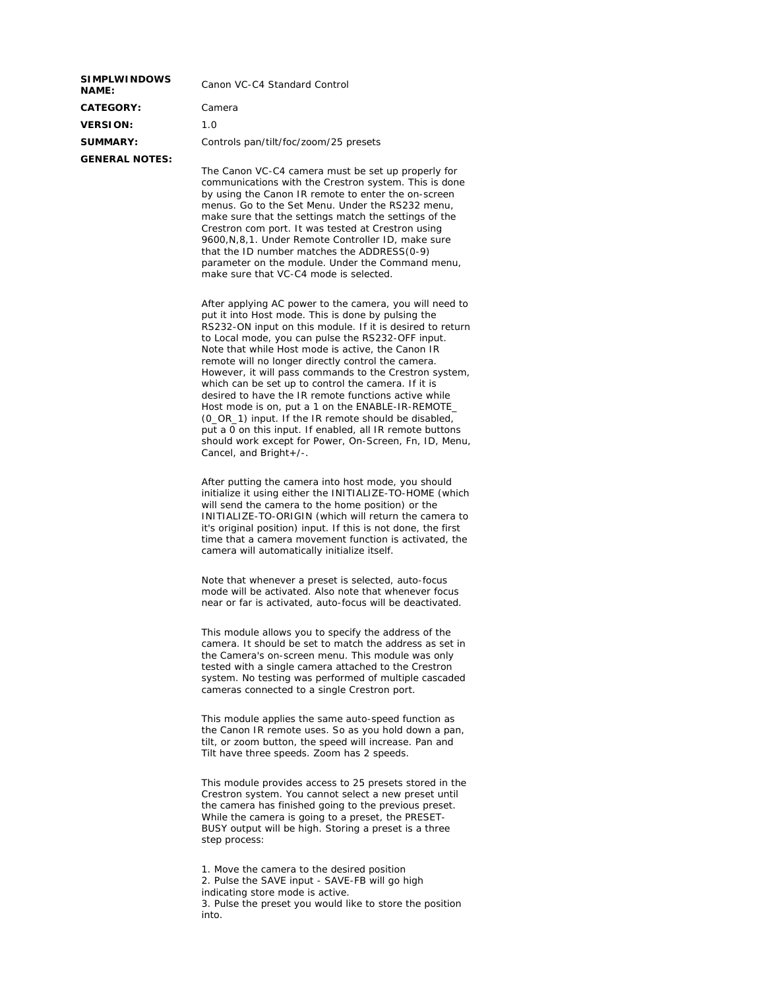| <b>SIMPLWINDOWS</b><br><b>NAME:</b> | Canon VC-C4 Standard Control          |  |
|-------------------------------------|---------------------------------------|--|
| <b>CATEGORY:</b>                    | Camera                                |  |
| <b>VERSION:</b>                     | 1.0                                   |  |
| <b>SUMMARY:</b>                     | Controls pan/tilt/foc/zoom/25 presets |  |
| <b>GENERAL NOTES:</b>               |                                       |  |
|                                     | The Canon VC-C4 camera must be set up |  |

properly for communications with the Crestron system. This is done by using the Canon IR remote to enter the on-screen menus. Go to the Set Menu. Under the RS232 menu, make sure that the settings match the settings of the Crestron com port. It was tested at Crestron using 9600,N,8,1. Under Remote Controller ID, make sure that the ID number matches the ADDRESS(0-9) parameter on the module. Under the Command menu, make sure that VC-C4 mode is selected.

After applying AC power to the camera, you will need to put it into Host mode. This is done by pulsing the RS232-ON input on this module. If it is desired to return to Local mode, you can pulse the RS232-OFF input. Note that while Host mode is active, the Canon IR remote will no longer directly control the camera. However, it will pass commands to the Crestron system, which can be set up to control the camera. If it is desired to have the IR remote functions active while Host mode is on, put a 1 on the ENABLE-IR-REMOTE\_ (0\_OR\_1) input. If the IR remote should be disabled, put a 0 on this input. If enabled, all IR remote buttons should work except for Power, On-Screen, Fn, ID, Menu, Cancel, and Bright+/-.

After putting the camera into host mode, you should initialize it using either the INITIALIZE-TO-HOME (which will send the camera to the home position) or the INITIALIZE-TO-ORIGIN (which will return the camera to it's original position) input. If this is not done, the first time that a camera movement function is activated, the camera will automatically initialize itself.

Note that whenever a preset is selected, auto-focus mode will be activated. Also note that whenever focus near or far is activated, auto-focus will be deactivated.

This module allows you to specify the address of the camera. It should be set to match the address as set in the Camera's on-screen menu. This module was only tested with a single camera attached to the Crestron system. No testing was performed of multiple cascaded cameras connected to a single Crestron port.

This module applies the same auto-speed function as the Canon IR remote uses. So as you hold down a pan, tilt, or zoom button, the speed will increase. Pan and Tilt have three speeds. Zoom has 2 speeds.

This module provides access to 25 presets stored in the Crestron system. You cannot select a new preset until the camera has finished going to the previous preset. While the camera is going to a preset, the PRESET-BUSY output will be high. Storing a preset is a three step process:

1. Move the camera to the desired position 2. Pulse the SAVE input - SAVE-FB will go high indicating store mode is active. 3. Pulse the preset you would like to store the position into.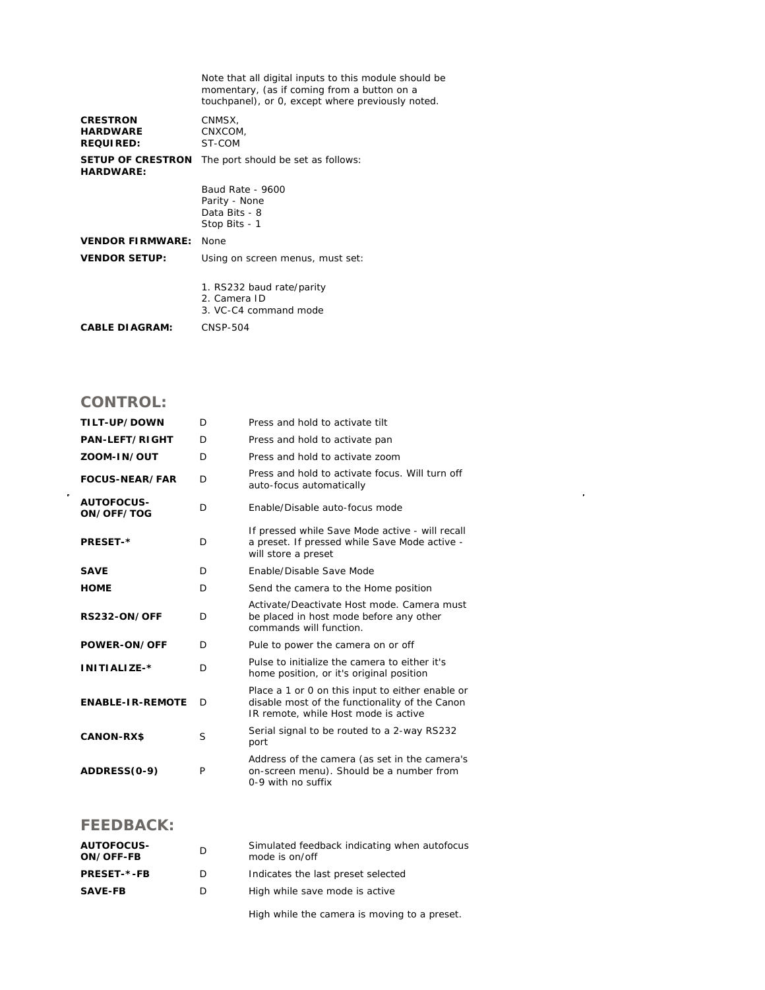|                                                        | Note that all digital inputs to this module should be<br>momentary, (as if coming from a button on a<br>touchpanel), or 0, except where previously noted. |
|--------------------------------------------------------|-----------------------------------------------------------------------------------------------------------------------------------------------------------|
| <b>CRESTRON</b><br><b>HARDWARE</b><br><b>REQUIRED:</b> | CNMSX,<br>CNXCOM,<br>ST-COM                                                                                                                               |
| <b>SETUP OF CRESTRON</b><br><b>HARDWARE:</b>           | The port should be set as follows:                                                                                                                        |
|                                                        | Baud Rate - 9600<br>Parity - None<br>Data Bits - 8<br>Stop Bits - 1                                                                                       |
| <b>VENDOR FIRMWARE:</b>                                | None                                                                                                                                                      |
| <b>VENDOR SETUP:</b>                                   | Using on screen menus, must set:                                                                                                                          |
|                                                        | 1. RS232 baud rate/parity<br>2. Camera ID<br>3. VC-C4 command mode                                                                                        |
| <b>CABLE DIAGRAM:</b>                                  | CNSP-504                                                                                                                                                  |

## **CONTROL:**

 $\hat{\mathcal{L}}$ 

| TILT-UP/DOWN                    | D | Press and hold to activate tilt                                                                                                            |
|---------------------------------|---|--------------------------------------------------------------------------------------------------------------------------------------------|
| <b>PAN-LEFT/RIGHT</b>           | D | Press and hold to activate pan                                                                                                             |
| ZOOM-IN/OUT                     | D | Press and hold to activate zoom                                                                                                            |
| <b>FOCUS-NEAR/FAR</b>           | D | Press and hold to activate focus. Will turn off<br>auto-focus automatically                                                                |
| <b>AUTOFOCUS-</b><br>ON/OFF/TOG | D | Enable/Disable auto-focus mode                                                                                                             |
| <b>PRESET-*</b>                 | D | If pressed while Save Mode active - will recall<br>a preset. If pressed while Save Mode active -<br>will store a preset                    |
| <b>SAVE</b>                     | D | Enable/Disable Save Mode                                                                                                                   |
| <b>HOME</b>                     | D | Send the camera to the Home position                                                                                                       |
| <b>RS232-ON/OFF</b>             | D | Activate/Deactivate Host mode, Camera must<br>be placed in host mode before any other<br>commands will function.                           |
| POWER-ON/OFF                    | D | Pule to power the camera on or off                                                                                                         |
| INITIALIZE-*                    | D | Pulse to initialize the camera to either it's<br>home position, or it's original position                                                  |
| <b>ENABLE-IR-REMOTE</b>         | D | Place a 1 or 0 on this input to either enable or<br>disable most of the functionality of the Canon<br>IR remote, while Host mode is active |
| <b>CANON-RX\$</b>               | S | Serial signal to be routed to a 2-way RS232<br>port                                                                                        |
| ADDRESS(0-9)                    | P | Address of the camera (as set in the camera's<br>on-screen menu). Should be a number from<br>0-9 with no suffix                            |

## **FEEDBACK:**

| <b>AUTOFOCUS-</b><br>ON/OFF-FB | D. | Simulated feedback indicating when autofocus<br>mode is on/off |
|--------------------------------|----|----------------------------------------------------------------|
| <b>PRESET-*-FB</b>             | D  | Indicates the last preset selected                             |
| <b>SAVE-FB</b>                 | D  | High while save mode is active                                 |
|                                |    |                                                                |

High while the camera is moving to a preset.

 $\sim$